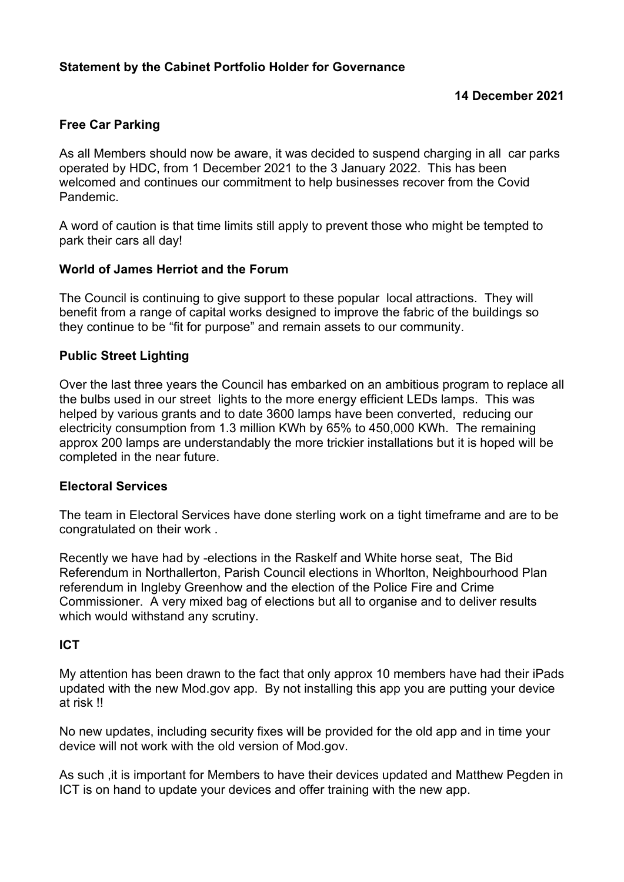## **Statement by the Cabinet Portfolio Holder for Governance**

## **14 December 2021**

### **Free Car Parking**

As all Members should now be aware, it was decided to suspend charging in all car parks operated by HDC, from 1 December 2021 to the 3 January 2022. This has been welcomed and continues our commitment to help businesses recover from the Covid Pandemic.

A word of caution is that time limits still apply to prevent those who might be tempted to park their cars all day!

#### **World of James Herriot and the Forum**

The Council is continuing to give support to these popular local attractions. They will benefit from a range of capital works designed to improve the fabric of the buildings so they continue to be "fit for purpose" and remain assets to our community.

#### **Public Street Lighting**

Over the last three years the Council has embarked on an ambitious program to replace all the bulbs used in our street lights to the more energy efficient LEDs lamps. This was helped by various grants and to date 3600 lamps have been converted, reducing our electricity consumption from 1.3 million KWh by 65% to 450,000 KWh. The remaining approx 200 lamps are understandably the more trickier installations but it is hoped will be completed in the near future.

#### **Electoral Services**

The team in Electoral Services have done sterling work on a tight timeframe and are to be congratulated on their work .

Recently we have had by -elections in the Raskelf and White horse seat, The Bid Referendum in Northallerton, Parish Council elections in Whorlton, Neighbourhood Plan referendum in Ingleby Greenhow and the election of the Police Fire and Crime Commissioner. A very mixed bag of elections but all to organise and to deliver results which would withstand any scrutiny.

#### **ICT**

My attention has been drawn to the fact that only approx 10 members have had their iPads updated with the new Mod.gov app. By not installing this app you are putting your device at risk !!

No new updates, including security fixes will be provided for the old app and in time your device will not work with the old version of Mod.gov.

As such ,it is important for Members to have their devices updated and Matthew Pegden in ICT is on hand to update your devices and offer training with the new app.